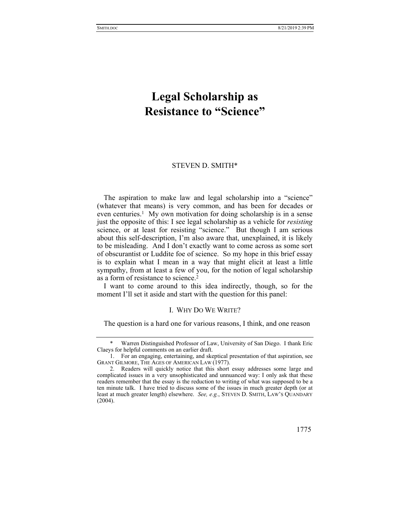# **Legal Scholarship as Resistance to "Science"**

## STEVEN D. SMITH\*

The aspiration to make law and legal scholarship into a "science" (whatever that means) is very common, and has been for decades or even centuries.<sup>1</sup> My own motivation for doing scholarship is in a sense just the opposite of this: I see legal scholarship as a vehicle for *resisting* science, or at least for resisting "science." But though I am serious about this self-description, I'm also aware that, unexplained, it is likely to be misleading. And I don't exactly want to come across as some sort of obscurantist or Luddite foe of science. So my hope in this brief essay is to explain what I mean in a way that might elicit at least a little sympathy, from at least a few of you, for the notion of legal scholarship as a form of resistance to science.2

I want to come around to this idea indirectly, though, so for the moment I'll set it aside and start with the question for this panel:

## I. WHY DO WE WRITE?

The question is a hard one for various reasons, I think, and one reason

 <sup>2.</sup> Readers will quickly notice that this short essay addresses some large and complicated issues in a very unsophisticated and unnuanced way: I only ask that these readers remember that the essay is the reduction to writing of what was supposed to be a ten minute talk. I have tried to discuss some of the issues in much greater depth (or at least at much greater length) elsewhere. *See, e.g.*, STEVEN D. SMITH, LAW'S QUANDARY (2004).



 <sup>\*</sup> Warren Distinguished Professor of Law, University of San Diego. I thank Eric Claeys for helpful comments on an earlier draft.

 <sup>1.</sup> For an engaging, entertaining, and skeptical presentation of that aspiration, see GRANT GILMORE, THE AGES OF AMERICAN LAW (1977).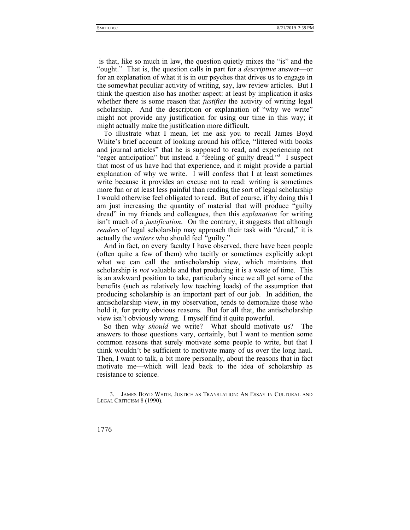is that, like so much in law, the question quietly mixes the "is" and the "ought." That is, the question calls in part for a *descriptive* answer—or for an explanation of what it is in our psyches that drives us to engage in the somewhat peculiar activity of writing, say, law review articles. But I think the question also has another aspect: at least by implication it asks whether there is some reason that *justifies* the activity of writing legal scholarship. And the description or explanation of "why we write" might not provide any justification for using our time in this way; it might actually make the justification more difficult.

To illustrate what I mean, let me ask you to recall James Boyd White's brief account of looking around his office, "littered with books and journal articles" that he is supposed to read, and experiencing not "eager anticipation" but instead a "feeling of guilty dread."<sup>3</sup> I suspect that most of us have had that experience, and it might provide a partial explanation of why we write. I will confess that I at least sometimes write because it provides an excuse not to read: writing is sometimes more fun or at least less painful than reading the sort of legal scholarship I would otherwise feel obligated to read. But of course, if by doing this I am just increasing the quantity of material that will produce "guilty dread" in my friends and colleagues, then this *explanation* for writing isn't much of a *justification*. On the contrary, it suggests that although *readers* of legal scholarship may approach their task with "dread," it is actually the *writers* who should feel "guilty."

And in fact, on every faculty I have observed, there have been people (often quite a few of them) who tacitly or sometimes explicitly adopt what we can call the antischolarship view, which maintains that scholarship is *not* valuable and that producing it is a waste of time. This is an awkward position to take, particularly since we all get some of the benefits (such as relatively low teaching loads) of the assumption that producing scholarship is an important part of our job. In addition, the antischolarship view, in my observation, tends to demoralize those who hold it, for pretty obvious reasons. But for all that, the antischolarship view isn't obviously wrong. I myself find it quite powerful.

So then why *should* we write? What should motivate us? The answers to those questions vary, certainly, but I want to mention some common reasons that surely motivate some people to write, but that I think wouldn't be sufficient to motivate many of us over the long haul. Then, I want to talk, a bit more personally, about the reasons that in fact motivate me—which will lead back to the idea of scholarship as resistance to science.

 <sup>3.</sup> JAMES BOYD WHITE, JUSTICE AS TRANSLATION: AN ESSAY IN CULTURAL AND LEGAL CRITICISM 8 (1990).

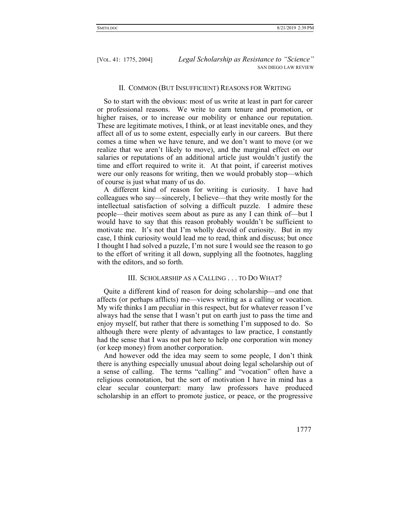## II. COMMON (BUT INSUFFICIENT) REASONS FOR WRITING

So to start with the obvious: most of us write at least in part for career or professional reasons. We write to earn tenure and promotion, or higher raises, or to increase our mobility or enhance our reputation. These are legitimate motives, I think, or at least inevitable ones, and they affect all of us to some extent, especially early in our careers. But there comes a time when we have tenure, and we don't want to move (or we realize that we aren't likely to move), and the marginal effect on our salaries or reputations of an additional article just wouldn't justify the time and effort required to write it. At that point, if careerist motives were our only reasons for writing, then we would probably stop—which of course is just what many of us do.

A different kind of reason for writing is curiosity. I have had colleagues who say—sincerely, I believe—that they write mostly for the intellectual satisfaction of solving a difficult puzzle. I admire these people—their motives seem about as pure as any I can think of—but I would have to say that this reason probably wouldn't be sufficient to motivate me. It's not that I'm wholly devoid of curiosity. But in my case, I think curiosity would lead me to read, think and discuss; but once I thought I had solved a puzzle, I'm not sure I would see the reason to go to the effort of writing it all down, supplying all the footnotes, haggling with the editors, and so forth.

## III. SCHOLARSHIP AS A CALLING . . . TO DO WHAT?

Quite a different kind of reason for doing scholarship—and one that affects (or perhaps afflicts) me—views writing as a calling or vocation. My wife thinks I am peculiar in this respect, but for whatever reason I've always had the sense that I wasn't put on earth just to pass the time and enjoy myself, but rather that there is something I'm supposed to do. So although there were plenty of advantages to law practice, I constantly had the sense that I was not put here to help one corporation win money (or keep money) from another corporation.

And however odd the idea may seem to some people, I don't think there is anything especially unusual about doing legal scholarship out of a sense of calling. The terms "calling" and "vocation" often have a religious connotation, but the sort of motivation I have in mind has a clear secular counterpart: many law professors have produced scholarship in an effort to promote justice, or peace, or the progressive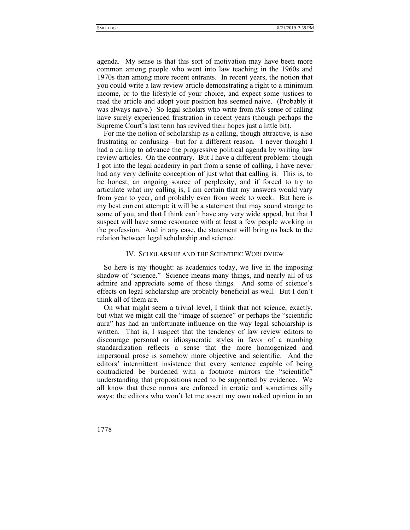agenda. My sense is that this sort of motivation may have been more common among people who went into law teaching in the 1960s and 1970s than among more recent entrants. In recent years, the notion that you could write a law review article demonstrating a right to a minimum income, or to the lifestyle of your choice, and expect some justices to read the article and adopt your position has seemed naive. (Probably it was always naive.) So legal scholars who write from *this* sense of calling have surely experienced frustration in recent years (though perhaps the Supreme Court's last term has revived their hopes just a little bit).

For me the notion of scholarship as a calling, though attractive, is also frustrating or confusing—but for a different reason. I never thought I had a calling to advance the progressive political agenda by writing law review articles. On the contrary. But I have a different problem: though I got into the legal academy in part from a sense of calling, I have never had any very definite conception of just what that calling is. This is, to be honest, an ongoing source of perplexity, and if forced to try to articulate what my calling is, I am certain that my answers would vary from year to year, and probably even from week to week. But here is my best current attempt: it will be a statement that may sound strange to some of you, and that I think can't have any very wide appeal, but that I suspect will have some resonance with at least a few people working in the profession. And in any case, the statement will bring us back to the relation between legal scholarship and science.

#### IV. SCHOLARSHIP AND THE SCIENTIFIC WORLDVIEW

So here is my thought: as academics today, we live in the imposing shadow of "science." Science means many things, and nearly all of us admire and appreciate some of those things. And some of science's effects on legal scholarship are probably beneficial as well. But I don't think all of them are.

On what might seem a trivial level, I think that not science, exactly, but what we might call the "image of science" or perhaps the "scientific aura" has had an unfortunate influence on the way legal scholarship is written. That is, I suspect that the tendency of law review editors to discourage personal or idiosyncratic styles in favor of a numbing standardization reflects a sense that the more homogenized and impersonal prose is somehow more objective and scientific. And the editors' intermittent insistence that every sentence capable of being contradicted be burdened with a footnote mirrors the "scientific" understanding that propositions need to be supported by evidence. We all know that these norms are enforced in erratic and sometimes silly ways: the editors who won't let me assert my own naked opinion in an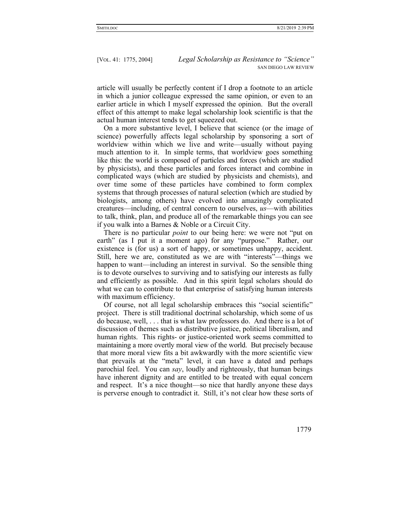article will usually be perfectly content if I drop a footnote to an article in which a junior colleague expressed the same opinion, or even to an earlier article in which I myself expressed the opinion. But the overall effect of this attempt to make legal scholarship look scientific is that the actual human interest tends to get squeezed out.

On a more substantive level, I believe that science (or the image of science) powerfully affects legal scholarship by sponsoring a sort of worldview within which we live and write—usually without paying much attention to it. In simple terms, that worldview goes something like this: the world is composed of particles and forces (which are studied by physicists), and these particles and forces interact and combine in complicated ways (which are studied by physicists and chemists), and over time some of these particles have combined to form complex systems that through processes of natural selection (which are studied by biologists, among others) have evolved into amazingly complicated creatures—including, of central concern to ourselves, *us*—with abilities to talk, think, plan, and produce all of the remarkable things you can see if you walk into a Barnes & Noble or a Circuit City.

There is no particular *point* to our being here: we were not "put on earth" (as I put it a moment ago) for any "purpose." Rather, our existence is (for us) a sort of happy, or sometimes unhappy, accident. Still, here we are, constituted as we are with "interests"—things we happen to want—including an interest in survival. So the sensible thing is to devote ourselves to surviving and to satisfying our interests as fully and efficiently as possible. And in this spirit legal scholars should do what we can to contribute to that enterprise of satisfying human interests with maximum efficiency.

Of course, not all legal scholarship embraces this "social scientific" project. There is still traditional doctrinal scholarship, which some of us do because, well, . . . that is what law professors do. And there is a lot of discussion of themes such as distributive justice, political liberalism, and human rights. This rights- or justice-oriented work seems committed to maintaining a more overtly moral view of the world. But precisely because that more moral view fits a bit awkwardly with the more scientific view that prevails at the "meta" level, it can have a dated and perhaps parochial feel. You can *say*, loudly and righteously, that human beings have inherent dignity and are entitled to be treated with equal concern and respect. It's a nice thought—so nice that hardly anyone these days is perverse enough to contradict it. Still, it's not clear how these sorts of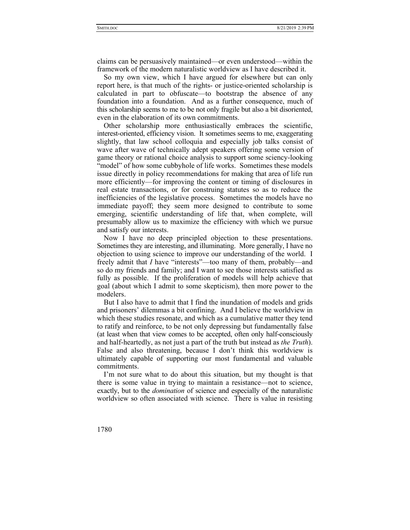claims can be persuasively maintained—or even understood—within the framework of the modern naturalistic worldview as I have described it.

So my own view, which I have argued for elsewhere but can only report here, is that much of the rights- or justice-oriented scholarship is calculated in part to obfuscate—to bootstrap the absence of any foundation into a foundation. And as a further consequence, much of this scholarship seems to me to be not only fragile but also a bit disoriented, even in the elaboration of its own commitments.

Other scholarship more enthusiastically embraces the scientific, interest-oriented, efficiency vision. It sometimes seems to me, exaggerating slightly, that law school colloquia and especially job talks consist of wave after wave of technically adept speakers offering some version of game theory or rational choice analysis to support some sciency-looking "model" of how some cubbyhole of life works. Sometimes these models issue directly in policy recommendations for making that area of life run more efficiently—for improving the content or timing of disclosures in real estate transactions, or for construing statutes so as to reduce the inefficiencies of the legislative process. Sometimes the models have no immediate payoff; they seem more designed to contribute to some emerging, scientific understanding of life that, when complete, will presumably allow us to maximize the efficiency with which we pursue and satisfy our interests.

Now I have no deep principled objection to these presentations. Sometimes they are interesting, and illuminating. More generally, I have no objection to using science to improve our understanding of the world. I freely admit that *I* have "interests"—too many of them, probably—and so do my friends and family; and I want to see those interests satisfied as fully as possible. If the proliferation of models will help achieve that goal (about which I admit to some skepticism), then more power to the modelers.

But I also have to admit that I find the inundation of models and grids and prisoners' dilemmas a bit confining. And I believe the worldview in which these studies resonate, and which as a cumulative matter they tend to ratify and reinforce, to be not only depressing but fundamentally false (at least when that view comes to be accepted, often only half-consciously and half-heartedly, as not just a part of the truth but instead as *the Truth*). False and also threatening, because I don't think this worldview is ultimately capable of supporting our most fundamental and valuable commitments.

I'm not sure what to do about this situation, but my thought is that there is some value in trying to maintain a resistance—not to science, exactly, but to the *domination* of science and especially of the naturalistic worldview so often associated with science. There is value in resisting